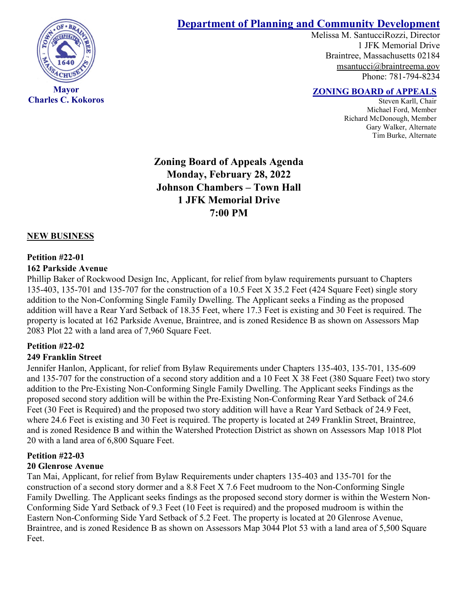

**Charles C. Kokoros**

# **Department of Planning and Community Development**

Melissa M. SantucciRozzi, Director 1 JFK Memorial Drive Braintree, Massachusetts 02184 [msantucci@braintreema.gov](mailto:msantucci@braintreema.gov) Phone: 781-794-8234

## **ZONING BOARD of APPEALS**

Steven Karll, Chair Michael Ford, Member Richard McDonough, Member Gary Walker, Alternate Tim Burke, Alternate

**Zoning Board of Appeals Agenda Monday, February 28, 2022 Johnson Chambers – Town Hall 1 JFK Memorial Drive 7:00 PM**

### **NEW BUSINESS**

#### **Petition #22-01**

#### **162 Parkside Avenue**

Phillip Baker of Rockwood Design Inc, Applicant, for relief from bylaw requirements pursuant to Chapters 135-403, 135-701 and 135-707 for the construction of a 10.5 Feet X 35.2 Feet (424 Square Feet) single story addition to the Non-Conforming Single Family Dwelling. The Applicant seeks a Finding as the proposed addition will have a Rear Yard Setback of 18.35 Feet, where 17.3 Feet is existing and 30 Feet is required. The property is located at 162 Parkside Avenue, Braintree, and is zoned Residence B as shown on Assessors Map 2083 Plot 22 with a land area of 7,960 Square Feet.

#### **Petition #22-02**

#### **249 Franklin Street**

Jennifer Hanlon, Applicant, for relief from Bylaw Requirements under Chapters 135-403, 135-701, 135-609 and 135-707 for the construction of a second story addition and a 10 Feet X 38 Feet (380 Square Feet) two story addition to the Pre-Existing Non-Conforming Single Family Dwelling. The Applicant seeks Findings as the proposed second story addition will be within the Pre-Existing Non-Conforming Rear Yard Setback of 24.6 Feet (30 Feet is Required) and the proposed two story addition will have a Rear Yard Setback of 24.9 Feet, where 24.6 Feet is existing and 30 Feet is required. The property is located at 249 Franklin Street, Braintree, and is zoned Residence B and within the Watershed Protection District as shown on Assessors Map 1018 Plot 20 with a land area of 6,800 Square Feet.

## **Petition #22-03**

#### **20 Glenrose Avenue**

Tan Mai, Applicant, for relief from Bylaw Requirements under chapters 135-403 and 135-701 for the construction of a second story dormer and a 8.8 Feet X 7.6 Feet mudroom to the Non-Conforming Single Family Dwelling. The Applicant seeks findings as the proposed second story dormer is within the Western Non-Conforming Side Yard Setback of 9.3 Feet (10 Feet is required) and the proposed mudroom is within the Eastern Non-Conforming Side Yard Setback of 5.2 Feet. The property is located at 20 Glenrose Avenue, Braintree, and is zoned Residence B as shown on Assessors Map 3044 Plot 53 with a land area of 5,500 Square Feet.